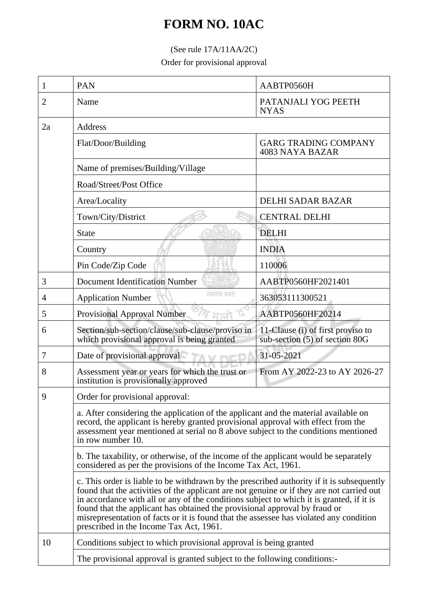## **FORM NO. 10AC**

## (See rule 17A/11AA/2C)

Order for provisional approval

| 1  | <b>PAN</b>                                                                                                                                                                                                                                                                                                                                                                                                                                                                                            | AABTP0560H                                                          |  |
|----|-------------------------------------------------------------------------------------------------------------------------------------------------------------------------------------------------------------------------------------------------------------------------------------------------------------------------------------------------------------------------------------------------------------------------------------------------------------------------------------------------------|---------------------------------------------------------------------|--|
| 2  | Name                                                                                                                                                                                                                                                                                                                                                                                                                                                                                                  | PATANJALI YOG PEETH<br><b>NYAS</b>                                  |  |
| 2a | Address                                                                                                                                                                                                                                                                                                                                                                                                                                                                                               |                                                                     |  |
|    | Flat/Door/Building                                                                                                                                                                                                                                                                                                                                                                                                                                                                                    | <b>GARG TRADING COMPANY</b><br>4083 NAYA BAZAR                      |  |
|    | Name of premises/Building/Village                                                                                                                                                                                                                                                                                                                                                                                                                                                                     |                                                                     |  |
|    | Road/Street/Post Office                                                                                                                                                                                                                                                                                                                                                                                                                                                                               |                                                                     |  |
|    | Area/Locality                                                                                                                                                                                                                                                                                                                                                                                                                                                                                         | <b>DELHI SADAR BAZAR</b>                                            |  |
|    | Town/City/District                                                                                                                                                                                                                                                                                                                                                                                                                                                                                    | <b>CENTRAL DELHI</b>                                                |  |
|    | <b>State</b>                                                                                                                                                                                                                                                                                                                                                                                                                                                                                          | <b>DELHI</b>                                                        |  |
|    | Country                                                                                                                                                                                                                                                                                                                                                                                                                                                                                               | <b>INDIA</b>                                                        |  |
|    | Pin Code/Zip Code                                                                                                                                                                                                                                                                                                                                                                                                                                                                                     | 110006                                                              |  |
| 3  | <b>Document Identification Number</b>                                                                                                                                                                                                                                                                                                                                                                                                                                                                 | AABTP0560HF2021401                                                  |  |
| 4  | सम्प्रमेश क्याते<br><b>Application Number</b>                                                                                                                                                                                                                                                                                                                                                                                                                                                         | 363053111300521                                                     |  |
| 5  | Provisional Approval Number                                                                                                                                                                                                                                                                                                                                                                                                                                                                           | AABTP0560HF20214                                                    |  |
| 6  | Section/sub-section/clause/sub-clause/proviso in<br>which provisional approval is being granted                                                                                                                                                                                                                                                                                                                                                                                                       | 11-Clause (i) of first proviso to<br>sub-section (5) of section 80G |  |
| 7  | Date of provisional approval                                                                                                                                                                                                                                                                                                                                                                                                                                                                          | 31-05-2021                                                          |  |
| 8  | Assessment year or years for which the trust or<br>institution is provisionally approved                                                                                                                                                                                                                                                                                                                                                                                                              | From AY 2022-23 to AY 2026-27                                       |  |
| 9  | Order for provisional approval:<br>a. After considering the application of the applicant and the material available on<br>record, the applicant is hereby granted provisional approval with effect from the<br>assessment year mentioned at serial no 8 above subject to the conditions mentioned<br>in row number 10.                                                                                                                                                                                |                                                                     |  |
|    |                                                                                                                                                                                                                                                                                                                                                                                                                                                                                                       |                                                                     |  |
|    | b. The taxability, or otherwise, of the income of the applicant would be separately<br>considered as per the provisions of the Income Tax Act, 1961.                                                                                                                                                                                                                                                                                                                                                  |                                                                     |  |
|    | c. This order is liable to be withdrawn by the prescribed authority if it is subsequently<br>found that the activities of the applicant are not genuine or if they are not carried out<br>in accordance with all or any of the conditions subject to which it is granted, if it is<br>found that the applicant has obtained the provisional approval by fraud or<br>misrepresentation of facts or it is found that the assessee has violated any condition<br>prescribed in the Income Tax Act, 1961. |                                                                     |  |
| 10 | Conditions subject to which provisional approval is being granted<br>The provisional approval is granted subject to the following conditions:-                                                                                                                                                                                                                                                                                                                                                        |                                                                     |  |
|    |                                                                                                                                                                                                                                                                                                                                                                                                                                                                                                       |                                                                     |  |